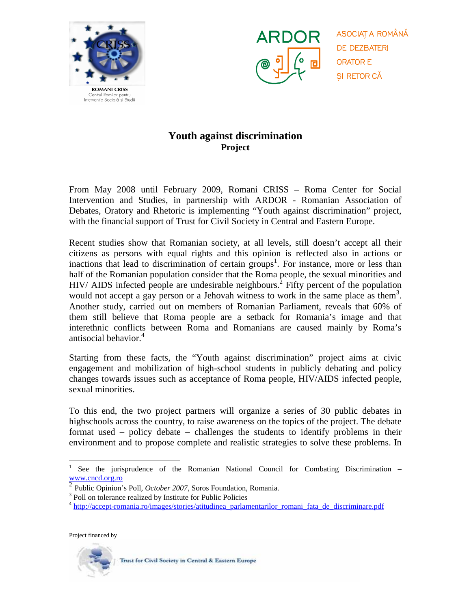



ASOCIATIA ROMÂNĂ **DE DEZBATERI ORATORIE** ȘI RETORICĂ

## **Youth against discrimination Project**

From May 2008 until February 2009, Romani CRISS – Roma Center for Social Intervention and Studies, in partnership with ARDOR - Romanian Association of Debates, Oratory and Rhetoric is implementing "Youth against discrimination" project, with the financial support of Trust for Civil Society in Central and Eastern Europe.

Recent studies show that Romanian society, at all levels, still doesn't accept all their citizens as persons with equal rights and this opinion is reflected also in actions or inactions that lead to discrimination of certain groups<sup>1</sup>. For instance, more or less than half of the Romanian population consider that the Roma people, the sexual minorities and  $HIV/$  AIDS infected people are undesirable neighbours.<sup>2</sup> Fifty percent of the population would not accept a gay person or a Jehovah witness to work in the same place as them<sup>3</sup>. Another study, carried out on members of Romanian Parliament, reveals that 60% of them still believe that Roma people are a setback for Romania's image and that interethnic conflicts between Roma and Romanians are caused mainly by Roma's antisocial behavior.<sup>4</sup>

Starting from these facts, the "Youth against discrimination" project aims at civic engagement and mobilization of high-school students in publicly debating and policy changes towards issues such as acceptance of Roma people, HIV/AIDS infected people, sexual minorities.

To this end, the two project partners will organize a series of 30 public debates in highschools across the country, to raise awareness on the topics of the project. The debate format used – policy debate – challenges the students to identify problems in their environment and to propose complete and realistic strategies to solve these problems. In

Project financed by

 $\overline{a}$ 



<sup>1</sup> See the jurisprudence of the Romanian National Council for Combating Discrimination – www.cncd.org.ro

<sup>2</sup> Public Opinion's Poll, *October 2007*, Soros Foundation, Romania.

<sup>&</sup>lt;sup>3</sup> Poll on tolerance realized by Institute for Public Policies

<sup>&</sup>lt;sup>4</sup> http://accept-romania.ro/images/stories/atitudinea parlamentarilor romani fata de discriminare.pdf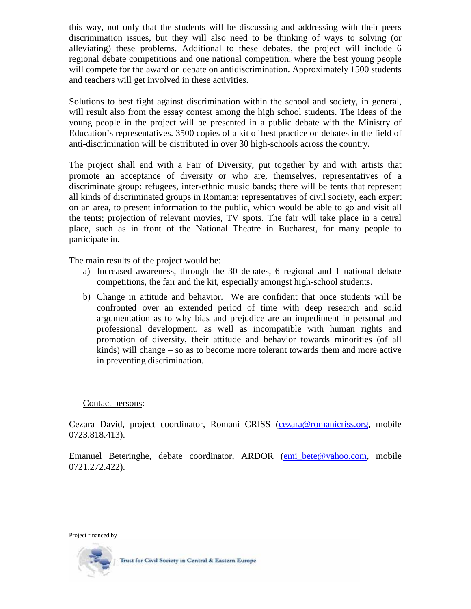this way, not only that the students will be discussing and addressing with their peers discrimination issues, but they will also need to be thinking of ways to solving (or alleviating) these problems. Additional to these debates, the project will include 6 regional debate competitions and one national competition, where the best young people will compete for the award on debate on antidiscrimination. Approximately 1500 students and teachers will get involved in these activities.

Solutions to best fight against discrimination within the school and society, in general, will result also from the essay contest among the high school students. The ideas of the young people in the project will be presented in a public debate with the Ministry of Education's representatives. 3500 copies of a kit of best practice on debates in the field of anti-discrimination will be distributed in over 30 high-schools across the country.

The project shall end with a Fair of Diversity, put together by and with artists that promote an acceptance of diversity or who are, themselves, representatives of a discriminate group: refugees, inter-ethnic music bands; there will be tents that represent all kinds of discriminated groups in Romania: representatives of civil society, each expert on an area, to present information to the public, which would be able to go and visit all the tents; projection of relevant movies, TV spots. The fair will take place in a cetral place, such as in front of the National Theatre in Bucharest, for many people to participate in.

The main results of the project would be:

- a) Increased awareness, through the 30 debates, 6 regional and 1 national debate competitions, the fair and the kit, especially amongst high-school students.
- b) Change in attitude and behavior. We are confident that once students will be confronted over an extended period of time with deep research and solid argumentation as to why bias and prejudice are an impediment in personal and professional development, as well as incompatible with human rights and promotion of diversity, their attitude and behavior towards minorities (of all kinds) will change – so as to become more tolerant towards them and more active in preventing discrimination.

## Contact persons:

Cezara David, project coordinator, Romani CRISS (cezara@romanicriss.org, mobile 0723.818.413).

Emanuel Beteringhe, debate coordinator, ARDOR (emi\_bete@yahoo.com, mobile 0721.272.422).

Project financed by